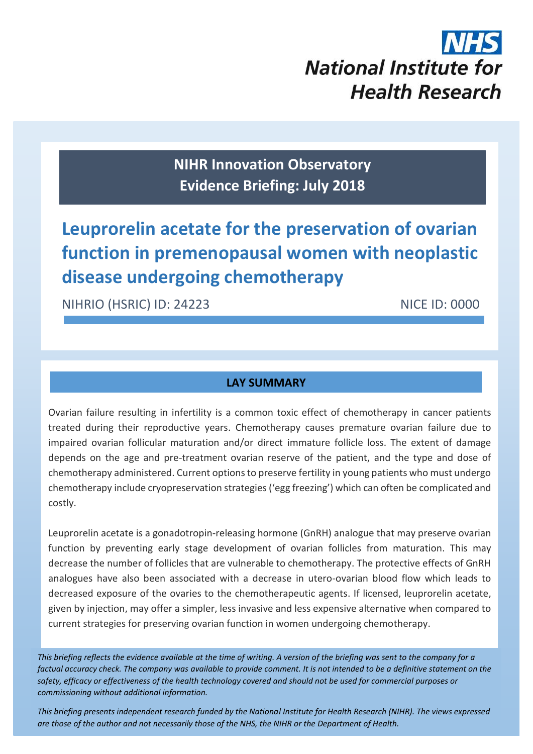# **National Institute for Health Research**

**NIHR Innovation Observatory Evidence Briefing: July 2018**

## **Leuprorelin acetate for the preservation of ovarian function in premenopausal women with neoplastic disease undergoing chemotherapy**

NIHRIO (HSRIC) ID: 24223 NICE ID: 0000

#### **LAY SUMMARY**

Ovarian failure resulting in infertility is a common toxic effect of chemotherapy in cancer patients treated during their reproductive years. Chemotherapy causes premature ovarian failure due to impaired ovarian follicular maturation and/or direct immature follicle loss. The extent of damage depends on the age and pre-treatment ovarian reserve of the patient, and the type and dose of chemotherapy administered. Current options to preserve fertility in young patients who must undergo chemotherapy include cryopreservation strategies ('egg freezing') which can often be complicated and costly.

Leuprorelin acetate is a gonadotropin-releasing hormone (GnRH) analogue that may preserve ovarian function by preventing early stage development of ovarian follicles from maturation. This may decrease the number of follicles that are vulnerable to chemotherapy. The protective effects of GnRH analogues have also been associated with a decrease in utero-ovarian blood flow which leads to decreased exposure of the ovaries to the chemotherapeutic agents. If licensed, leuprorelin acetate, given by injection, may offer a simpler, less invasive and less expensive alternative when compared to current strategies for preserving ovarian function in women undergoing chemotherapy.

*This briefing reflects the evidence available at the time of writing. A version of the briefing was sent to the company for a factual accuracy check. The company was available to provide comment. It is not intended to be a definitive statement on the safety, efficacy or effectiveness of the health technology covered and should not be used for commercial purposes or commissioning without additional information.*

1 *This briefing presents independent research funded by the National Institute for Health Research (NIHR). The views expressed are those of the author and not necessarily those of the NHS, the NIHR or the Department of Health.*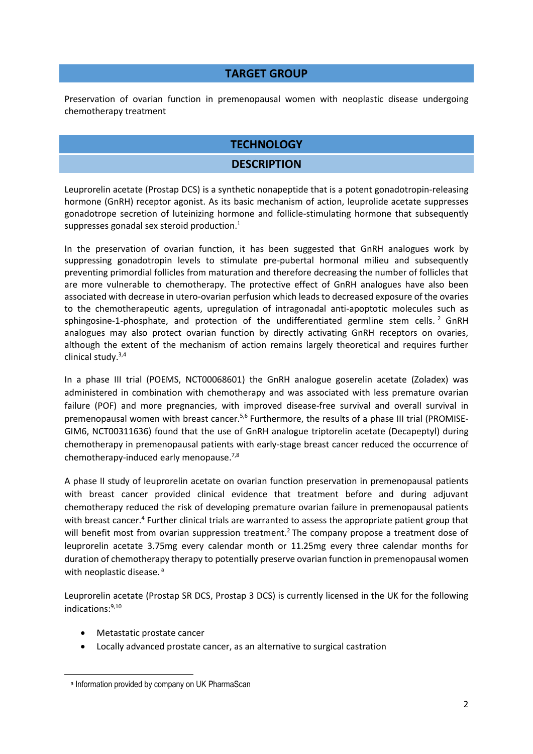#### **TARGET GROUP**

Preservation of ovarian function in premenopausal women with neoplastic disease undergoing chemotherapy treatment

#### **TECHNOLOGY**

#### <span id="page-1-1"></span>**DESCRIPTION**

Leuprorelin acetate (Prostap DCS) is a synthetic nonapeptide that is a potent gonadotropin-releasing hormone (GnRH) receptor agonist. As its basic mechanism of action, leuprolide acetate suppresses gonadotrope secretion of luteinizing hormone and follicle-stimulating hormone that subsequently suppresses gonadal sex steroid production. 1

In the preservation of ovarian function, it has been suggested that GnRH analogues work by suppressing gonadotropin levels to stimulate pre-pubertal hormonal milieu and subsequently preventing primordial follicles from maturation and therefore decreasing the number of follicles that are more vulnerable to chemotherapy. The protective effect of GnRH analogues have also been associated with decrease in utero-ovarian perfusion which leads to decreased exposure of the ovaries to the chemotherapeutic agents, upregulation of intragonadal anti-apoptotic molecules such as sphingosine-1-phosphate, and protection of the undifferentiated germline stem cells.<sup>2</sup> GnRH analogues may also protect ovarian function by directly activating GnRH receptors on ovaries, although the extent of the mechanism of action remains largely theoretical and requires further clinical study.3,4

<span id="page-1-5"></span><span id="page-1-4"></span><span id="page-1-2"></span><span id="page-1-0"></span>In a phase III trial (POEMS, NCT00068601) the GnRH analogue goserelin acetate (Zoladex) was administered in combination with chemotherapy and was associated with less premature ovarian failure (POF) and more pregnancies, with improved disease-free survival and overall survival in premenopausal women with breast cancer.<sup>5,6</sup> Furthermore, the results of a phase III trial (PROMISE-GIM6, NCT00311636) found that the use of GnRH analogue triptorelin acetate (Decapeptyl) during chemotherapy in premenopausal patients with early-stage breast cancer reduced the occurrence of chemotherapy-induced early menopause.<sup>7,8</sup>

<span id="page-1-6"></span><span id="page-1-3"></span>A phase II study of leuprorelin acetate on ovarian function preservation in premenopausal patients with breast cancer provided clinical evidence that treatment before and during adjuvant chemotherapy reduced the risk of developing premature ovarian failure in premenopausal patients with breast cancer.<sup>[4](#page-1-0)</sup> Further clinical trials are warranted to assess the appropriate patient group that will benefit most from ovarian suppression treatment[.](#page-1-1)<sup>2</sup> The company propose a treatment dose of leuprorelin acetate 3.75mg every calendar month or 11.25mg every three calendar months for duration of chemotherapy therapy to potentially preserve ovarian function in premenopausal women with neoplastic disease.<sup>a</sup>

Leuprorelin acetate (Prostap SR DCS, Prostap 3 DCS) is currently licensed in the UK for the following indications:[9,](#page-2-0)[10](#page-2-1)

Metastatic prostate cancer

**.** 

Locally advanced prostate cancer, as an alternative to surgical castration

a Information provided by company on UK PharmaScan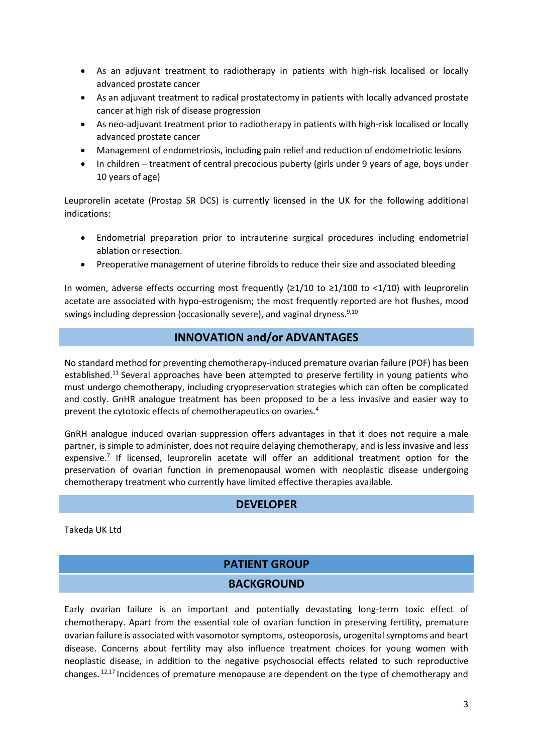- As an adjuvant treatment to radiotherapy in patients with high-risk localised or locally advanced prostate cancer
- As an adjuvant treatment to radical prostatectomy in patients with locally advanced prostate cancer at high risk of disease progression
- As neo-adjuvant treatment prior to radiotherapy in patients with high-risk localised or locally advanced prostate cancer
- Management of endometriosis, including pain relief and reduction of endometriotic lesions
- In children treatment of central precocious puberty (girls under 9 years of age, boys under 10 years of age)

Leuprorelin acetate (Prostap SR DCS) is currently licensed in the UK for the following additional indications:

- Endometrial preparation prior to intrauterine surgical procedures including endometrial ablation or resection.
- Preoperative management of uterine fibroids to reduce their size and associated bleeding

In women, adverse effects occurring most frequently (≥1/10 to ≥1/100 to <1/10) with leuprorelin acetate are associated with hypo-estrogenism; the most frequently reported are hot flushes, mood swings including depression (occasionally severe), and vaginal dryness.<sup>9,10</sup>

#### <span id="page-2-1"></span><span id="page-2-0"></span>**INNOVATION and/or ADVANTAGES**

No standard method for preventing chemotherapy-induced premature ovarian failure (POF) has been established.<sup>11</sup> Several approaches have been attempted to preserve fertility in young patients who must undergo chemotherapy, including cryopreservation strategies which can often be complicated and costly. GnHR analogue treatment has been proposed to be a less invasive and easier way to prevent the cytotoxic effects of chemotherapeutics on ovaries[.](#page-1-2)<sup>4</sup>

GnRH analogue induced ovarian suppression offers advantages in that it does not require a male partner, is simple to administer, does not require delaying chemotherapy, and is less invasive and less expensive[.](#page-1-3)<sup>7</sup> If licensed, leuprorelin acetate will offer an additional treatment option for the preservation of ovarian function in premenopausal women with neoplastic disease undergoing chemotherapy treatment who currently have limited effective therapies available.

#### **DEVELOPER**

Takeda UK Ltd

#### **PATIENT GROUP BACKGROUND**

<span id="page-2-2"></span>Early ovarian failure is an important and potentially devastating long-term toxic effect of chemotherapy. Apart from the essential role of ovarian function in preserving fertility, premature ovarian failure is associated with vasomotor symptoms, osteoporosis, urogenital symptoms and heart disease. Concerns about fertility may also influence treatment choices for young women with neoplastic disease, in addition to the negative psychosocial effects related to such reproductive changes. <sup>1[2,17](#page-3-0)</sup> Incidences of premature menopause are dependent on the type of chemotherapy and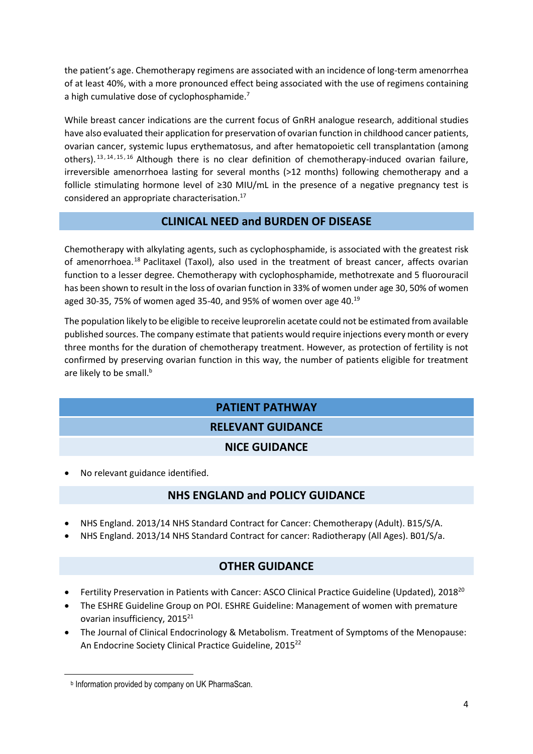the patient's age. Chemotherapy regimens are associated with an incidence of long-term amenorrhea of at least 40%, with a more pronounced effect being associated with the use of regimens containing a high cumulative dose of cyclophosphamide[.](#page-1-3)<sup>7</sup>

While breast cancer indications are the current focus of GnRH analogue research, additional studies have also evaluated their application for preservation of ovarian function in childhood cancer patients, ovarian cancer, systemic lupus erythematosus, and after hematopoietic cell transplantation (among others).  $13, 14, 15, 16$  Although there is no clear definition of chemotherapy-induced ovarian failure, irreversible amenorrhoea lasting for several months (>12 months) following chemotherapy and a follicle stimulating hormone level of ≥30 MIU/mL in the presence of a negative pregnancy test is considered an appropriate characterisation.<sup>17</sup>

#### <span id="page-3-0"></span>**CLINICAL NEED and BURDEN OF DISEASE**

Chemotherapy with alkylating agents, such as cyclophosphamide, is associated with the greatest risk of amenorrhoea.<sup>18</sup> Paclitaxel (Taxol), also used in the treatment of breast cancer, affects ovarian function to a lesser degree. Chemotherapy with cyclophosphamide, methotrexate and 5 fluorouracil has been shown to result in the loss of ovarian function in 33% of women under age 30, 50% of women aged 30-35, 75% of women aged 35-40, and 95% of women over age 40.<sup>19</sup>

The population likely to be eligible to receive leuprorelin acetate could not be estimated from available published sources. The company estimate that patients would require injections every month or every three months for the duration of chemotherapy treatment. However, as protection of fertility is not confirmed by preserving ovarian function in this way, the number of patients eligible for treatment are likely to be small.<sup>b</sup>

### **PATIENT PATHWAY**

#### **RELEVANT GUIDANCE**

#### **NICE GUIDANCE**

No relevant guidance identified.

#### **NHS ENGLAND and POLICY GUIDANCE**

- NHS England. 2013/14 NHS Standard Contract for Cancer: Chemotherapy (Adult). B15/S/A.
- NHS England. 2013/14 NHS Standard Contract for cancer: Radiotherapy (All Ages). B01/S/a.

#### <span id="page-3-1"></span>**OTHER GUIDANCE**

- Fertility Preservation in Patients with Cancer: ASCO Clinical Practice Guideline (Updated), 2018<sup>20</sup>
- The ESHRE Guideline Group on POI. ESHRE Guideline: Management of women with premature ovarian insufficiency, 2015<sup>21</sup>
- The Journal of Clinical Endocrinology & Metabolism. Treatment of Symptoms of the Menopause: An Endocrine Society Clinical Practice Guideline, 2015<sup>22</sup>

**.** 

**b** Information provided by company on UK PharmaScan.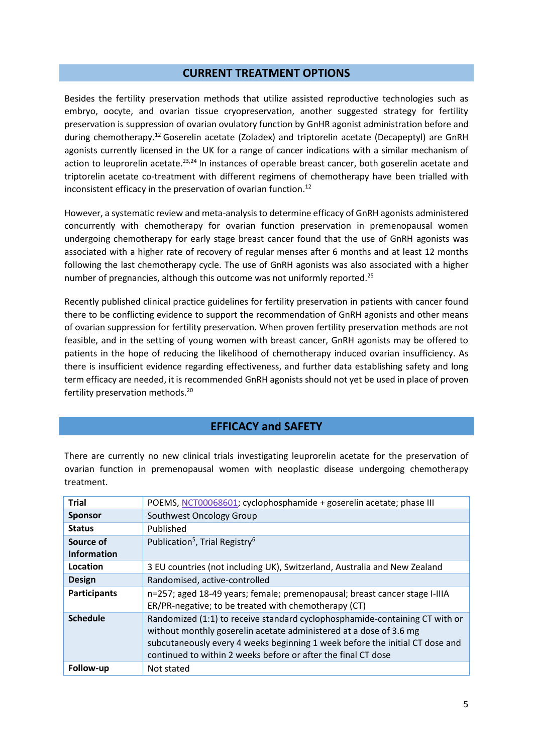#### **CURRENT TREATMENT OPTIONS**

Besides the fertility preservation methods that utilize assisted reproductive technologies such as embryo, oocyte, and ovarian tissue cryopreservation, another suggested strategy for fertility preservation is suppression of ovarian ovulatory function by GnHR agonist administration before and during chemotherapy.[12](#page-2-2) Goserelin acetate (Zoladex) and triptorelin acetate (Decapeptyl) are GnRH agonists currently licensed in the UK for a range of cancer indications with a similar mechanism of action to leuprorelin acetate.<sup>23,24</sup> In instances of operable breast cancer, both goserelin acetate and triptorelin acetate co-treatment with different regimens of chemotherapy have been trialled with inconsistent efficacy in the preservation of ovarian function. [12](#page-2-2)

However, a systematic review and meta-analysis to determine efficacy of GnRH agonists administered concurrently with chemotherapy for ovarian function preservation in premenopausal women undergoing chemotherapy for early stage breast cancer found that the use of GnRH agonists was associated with a higher rate of recovery of regular menses after 6 months and at least 12 months following the last chemotherapy cycle. The use of GnRH agonists was also associated with a higher number of pregnancies, although this outcome was not uniformly reported.<sup>25</sup>

Recently published clinical practice guidelines for fertility preservation in patients with cancer found there to be conflicting evidence to support the recommendation of GnRH agonists and other means of ovarian suppression for fertility preservation. When proven fertility preservation methods are not feasible, and in the setting of young women with breast cancer, GnRH agonists may be offered to patients in the hope of reducing the likelihood of chemotherapy induced ovarian insufficiency. As there is insufficient evidence regarding effectiveness, and further data establishing safety and long term efficacy are needed, it is recommended GnRH agonists should not yet be used in place of proven fertility preservation methods.[20](#page-3-1)

#### **EFFICACY and SAFETY**

There are currently no new clinical trials investigating leuprorelin acetate for the preservation of ovarian function in premenopausal women with neoplastic disease undergoing chemotherapy treatment.

| <b>Trial</b>        | POEMS, NCT00068601; cyclophosphamide + goserelin acetate; phase III                                                                                                                                                                                                                                |
|---------------------|----------------------------------------------------------------------------------------------------------------------------------------------------------------------------------------------------------------------------------------------------------------------------------------------------|
| <b>Sponsor</b>      | Southwest Oncology Group                                                                                                                                                                                                                                                                           |
| <b>Status</b>       | Published                                                                                                                                                                                                                                                                                          |
| Source of           | Publication <sup>5</sup> , Trial Registry <sup>6</sup>                                                                                                                                                                                                                                             |
| <b>Information</b>  |                                                                                                                                                                                                                                                                                                    |
| Location            | 3 EU countries (not including UK), Switzerland, Australia and New Zealand                                                                                                                                                                                                                          |
| <b>Design</b>       | Randomised, active-controlled                                                                                                                                                                                                                                                                      |
| <b>Participants</b> | n=257; aged 18-49 years; female; premenopausal; breast cancer stage I-IIIA<br>ER/PR-negative; to be treated with chemotherapy (CT)                                                                                                                                                                 |
| <b>Schedule</b>     | Randomized (1:1) to receive standard cyclophosphamide-containing CT with or<br>without monthly goserelin acetate administered at a dose of 3.6 mg<br>subcutaneously every 4 weeks beginning 1 week before the initial CT dose and<br>continued to within 2 weeks before or after the final CT dose |
| Follow-up           | Not stated                                                                                                                                                                                                                                                                                         |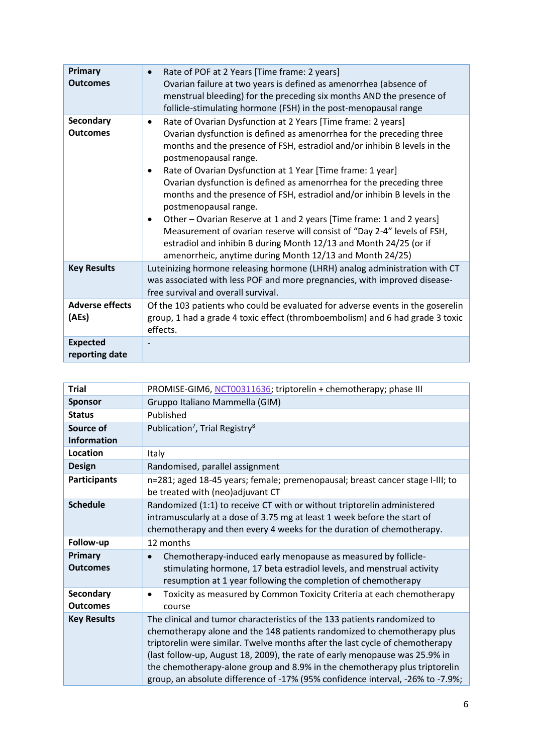| Primary<br><b>Outcomes</b>          | Rate of POF at 2 Years [Time frame: 2 years]<br>Ovarian failure at two years is defined as amenorrhea (absence of<br>menstrual bleeding) for the preceding six months AND the presence of<br>follicle-stimulating hormone (FSH) in the post-menopausal range                                                                                                                                                                                                                                                                                                                                                                                                                                                                                                                                            |
|-------------------------------------|---------------------------------------------------------------------------------------------------------------------------------------------------------------------------------------------------------------------------------------------------------------------------------------------------------------------------------------------------------------------------------------------------------------------------------------------------------------------------------------------------------------------------------------------------------------------------------------------------------------------------------------------------------------------------------------------------------------------------------------------------------------------------------------------------------|
| <b>Secondary</b><br><b>Outcomes</b> | Rate of Ovarian Dysfunction at 2 Years [Time frame: 2 years]<br>$\bullet$<br>Ovarian dysfunction is defined as amenorrhea for the preceding three<br>months and the presence of FSH, estradiol and/or inhibin B levels in the<br>postmenopausal range.<br>Rate of Ovarian Dysfunction at 1 Year [Time frame: 1 year]<br>٠<br>Ovarian dysfunction is defined as amenorrhea for the preceding three<br>months and the presence of FSH, estradiol and/or inhibin B levels in the<br>postmenopausal range.<br>Other – Ovarian Reserve at 1 and 2 years [Time frame: 1 and 2 years]<br>$\bullet$<br>Measurement of ovarian reserve will consist of "Day 2-4" levels of FSH,<br>estradiol and inhibin B during Month 12/13 and Month 24/25 (or if<br>amenorrheic, anytime during Month 12/13 and Month 24/25) |
| <b>Key Results</b>                  | Luteinizing hormone releasing hormone (LHRH) analog administration with CT<br>was associated with less POF and more pregnancies, with improved disease-<br>free survival and overall survival.                                                                                                                                                                                                                                                                                                                                                                                                                                                                                                                                                                                                          |
| <b>Adverse effects</b><br>(AEs)     | Of the 103 patients who could be evaluated for adverse events in the goserelin<br>group, 1 had a grade 4 toxic effect (thromboembolism) and 6 had grade 3 toxic<br>effects.                                                                                                                                                                                                                                                                                                                                                                                                                                                                                                                                                                                                                             |
| <b>Expected</b><br>reporting date   |                                                                                                                                                                                                                                                                                                                                                                                                                                                                                                                                                                                                                                                                                                                                                                                                         |

| <b>Trial</b>                 | PROMISE-GIM6, NCT00311636; triptorelin + chemotherapy; phase III                                                                                                                                                                                                                                                                                                                                                                                                                   |
|------------------------------|------------------------------------------------------------------------------------------------------------------------------------------------------------------------------------------------------------------------------------------------------------------------------------------------------------------------------------------------------------------------------------------------------------------------------------------------------------------------------------|
| <b>Sponsor</b>               | Gruppo Italiano Mammella (GIM)                                                                                                                                                                                                                                                                                                                                                                                                                                                     |
| <b>Status</b>                | Published                                                                                                                                                                                                                                                                                                                                                                                                                                                                          |
| Source of                    | Publication <sup>7</sup> , Trial Registry <sup>8</sup>                                                                                                                                                                                                                                                                                                                                                                                                                             |
| <b>Information</b>           |                                                                                                                                                                                                                                                                                                                                                                                                                                                                                    |
| Location                     | Italy                                                                                                                                                                                                                                                                                                                                                                                                                                                                              |
| <b>Design</b>                | Randomised, parallel assignment                                                                                                                                                                                                                                                                                                                                                                                                                                                    |
| <b>Participants</b>          | n=281; aged 18-45 years; female; premenopausal; breast cancer stage I-III; to<br>be treated with (neo)adjuvant CT                                                                                                                                                                                                                                                                                                                                                                  |
| <b>Schedule</b>              | Randomized (1:1) to receive CT with or without triptorelin administered<br>intramuscularly at a dose of 3.75 mg at least 1 week before the start of<br>chemotherapy and then every 4 weeks for the duration of chemotherapy.                                                                                                                                                                                                                                                       |
| Follow-up                    | 12 months                                                                                                                                                                                                                                                                                                                                                                                                                                                                          |
| Primary<br><b>Outcomes</b>   | Chemotherapy-induced early menopause as measured by follicle-<br>stimulating hormone, 17 beta estradiol levels, and menstrual activity<br>resumption at 1 year following the completion of chemotherapy                                                                                                                                                                                                                                                                            |
| Secondary<br><b>Outcomes</b> | Toxicity as measured by Common Toxicity Criteria at each chemotherapy<br>$\bullet$<br>course                                                                                                                                                                                                                                                                                                                                                                                       |
| <b>Key Results</b>           | The clinical and tumor characteristics of the 133 patients randomized to<br>chemotherapy alone and the 148 patients randomized to chemotherapy plus<br>triptorelin were similar. Twelve months after the last cycle of chemotherapy<br>(last follow-up, August 18, 2009), the rate of early menopause was 25.9% in<br>the chemotherapy-alone group and 8.9% in the chemotherapy plus triptorelin<br>group, an absolute difference of -17% (95% confidence interval, -26% to -7.9%; |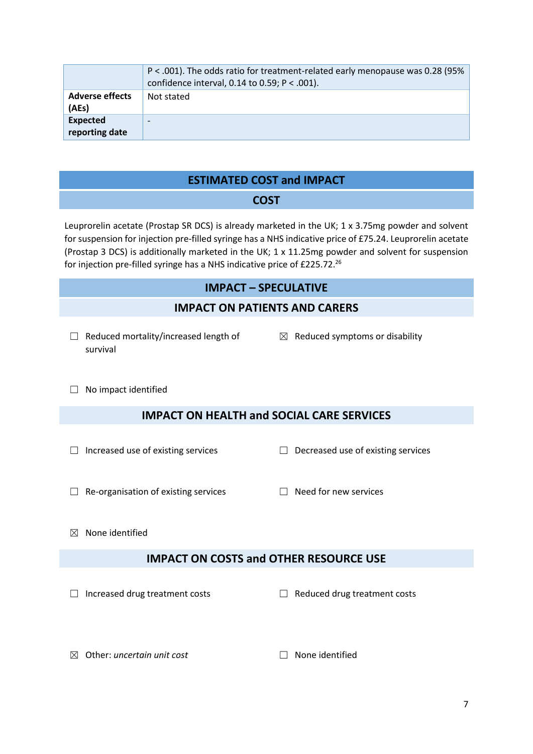|                                 | P < .001). The odds ratio for treatment-related early menopause was 0.28 (95%<br>confidence interval, 0.14 to 0.59; $P < .001$ ). |
|---------------------------------|-----------------------------------------------------------------------------------------------------------------------------------|
| <b>Adverse effects</b><br>(AEs) | Not stated                                                                                                                        |
| Expected<br>reporting date      |                                                                                                                                   |

#### **ESTIMATED COST and IMPACT**

#### **COST**

Leuprorelin acetate (Prostap SR DCS) is already marketed in the UK; 1 x 3.75mg powder and solvent for suspension for injection pre-filled syringe has a NHS indicative price of £75.24. Leuprorelin acetate (Prostap 3 DCS) is additionally marketed in the UK; 1 x 11.25mg powder and solvent for suspension for injection pre-filled syringe has a NHS indicative price of £225.72.<sup>26</sup>

#### **IMPACT – SPECULATIVE**

#### **IMPACT ON PATIENTS AND CARERS**

- $\Box$  Reduced mortality/increased length of survival
- $\boxtimes$  Reduced symptoms or disability

□ No impact identified

#### **IMPACT ON HEALTH and SOCIAL CARE SERVICES**

- 
- ☐ Increased use of existing services ☐ Decreased use of existing services
- ☐ Re-organisation of existing services ☐ Need for new services
- 

 $\boxtimes$  None identified

#### **IMPACT ON COSTS and OTHER RESOURCE USE**

☐ Increased drug treatment costs ☐ Reduced drug treatment costs

☒ Other: *uncertain unit cost* ☐ None identified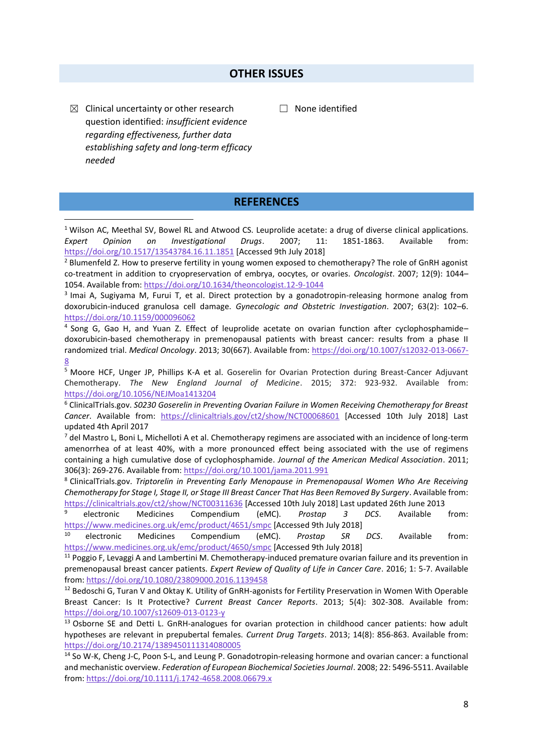#### **OTHER ISSUES**

 $\boxtimes$  Clinical uncertainty or other research question identified: *insufficient evidence regarding effectiveness, further data establishing safety and long-term efficacy needed*

**.** 

☐ None identified

#### **REFERENCES**

<sup>1</sup> Wilson AC, Meethal SV, Bowel RL and Atwood CS. Leuprolide acetate: a drug of diverse clinical applications. *Expert Opinion on Investigational Drugs*. 2007; 11: 1851-1863. Available from: <https://doi.org/10.1517/13543784.16.11.1851> [Accessed 9th July 2018]

<sup>2</sup> Blumenfeld Z. How to preserve fertility in young women exposed to chemotherapy? The role of GnRH agonist co-treatment in addition to cryopreservation of embrya, oocytes, or ovaries. *Oncologist*. 2007; 12(9): 1044– 1054. Available from:<https://doi.org/10.1634/theoncologist.12-9-1044>

3 Imai A, Sugiyama M, Furui T, et al. Direct protection by a gonadotropin-releasing hormone analog from doxorubicin-induced granulosa cell damage. *Gynecologic and Obstetric Investigation*. 2007; 63(2): 102–6. <https://doi.org/10.1159/000096062>

4 Song G, Gao H, and Yuan Z. Effect of leuprolide acetate on ovarian function after cyclophosphamide– doxorubicin-based chemotherapy in premenopausal patients with breast cancer: results from a phase II randomized trial. *Medical Oncology*. 2013; 30(667). Available from: [https://doi.org/10.1007/s12032-013-0667-](https://doi.org/10.1007/s12032-013-0667-8) [8](https://doi.org/10.1007/s12032-013-0667-8)

<sup>5</sup> Moore HCF, Unger JP, Phillips K-A et al. Goserelin for Ovarian Protection during Breast-Cancer Adjuvant Chemotherapy. *The New England Journal of Medicine*. 2015; 372: 923-932. Available from: <https://doi.org/10.1056/NEJMoa1413204>

<sup>6</sup> ClinicalTrials.gov. *S0230 Goserelin in Preventing Ovarian Failure in Women Receiving Chemotherapy for Breast*  Cancer. Available from: <https://clinicaltrials.gov/ct2/show/NCT00068601> [Accessed 10th July 2018] Last updated 4th April 2017

 $^7$  del Mastro L, Boni L, Michelloti A et al. Chemotherapy regimens are associated with an incidence of long-term amenorrhea of at least 40%, with a more pronounced effect being associated with the use of regimens containing a high cumulative dose of cyclophosphamide. *Journal of the American Medical Association*. 2011; 306(3): 269-276. Available from[: https://doi.org/10.1001/jama.2011.991](https://doi.org/10.1001/jama.2011.991)

<sup>8</sup> ClinicalTrials.gov. *Triptorelin in Preventing Early Menopause in Premenopausal Women Who Are Receiving Chemotherapy for Stage I, Stage II, or Stage III Breast Cancer That Has Been Removed By Surgery*. Available from: <https://clinicaltrials.gov/ct2/show/NCT00311636> [Accessed 10th July 2018] Last updated 26th June 2013

<sup>9</sup> electronic Medicines Compendium (eMC). *Prostap 3 DCS*. Available from: <https://www.medicines.org.uk/emc/product/4651/smpc> [Accessed 9th July 2018]

<sup>10</sup> electronic Medicines Compendium (eMC). *Prostap SR DCS*. Available from: <https://www.medicines.org.uk/emc/product/4650/smpc> [Accessed 9th July 2018]

<sup>11</sup> Poggio F, Levaggi A and Lambertini M. Chemotherapy-induced premature ovarian failure and its prevention in premenopausal breast cancer patients. *Expert Review of Quality of Life in Cancer Care*. 2016; 1: 5-7. Available from[: https://doi.org/10.1080/23809000.2016.1139458](https://doi.org/10.1080/23809000.2016.1139458)

<sup>12</sup> Bedoschi G, Turan V and Oktay K. Utility of GnRH-agonists for Fertility Preservation in Women With Operable Breast Cancer: Is It Protective? *Current Breast Cancer Reports*. 2013; 5(4): 302-308. Available from: <https://doi.org/10.1007/s12609-013-0123-y>

<sup>13</sup> Osborne SE and Detti L. GnRH-analogues for ovarian protection in childhood cancer patients: how adult hypotheses are relevant in prepubertal females. *Current Drug Targets*. 2013; 14(8): 856-863. Available from: <https://doi.org/10.2174/1389450111314080005>

<sup>14</sup> So W-K, Cheng J-C, Poon S-L, and Leung P. Gonadotropin‐releasing hormone and ovarian cancer: a functional and mechanistic overview. *Federation of European Biochemical Societies Journal*. 2008; 22: 5496-5511. Available from[: https://doi.org/10.1111/j.1742-4658.2008.06679.x](https://doi.org/10.1111/j.1742-4658.2008.06679.x)